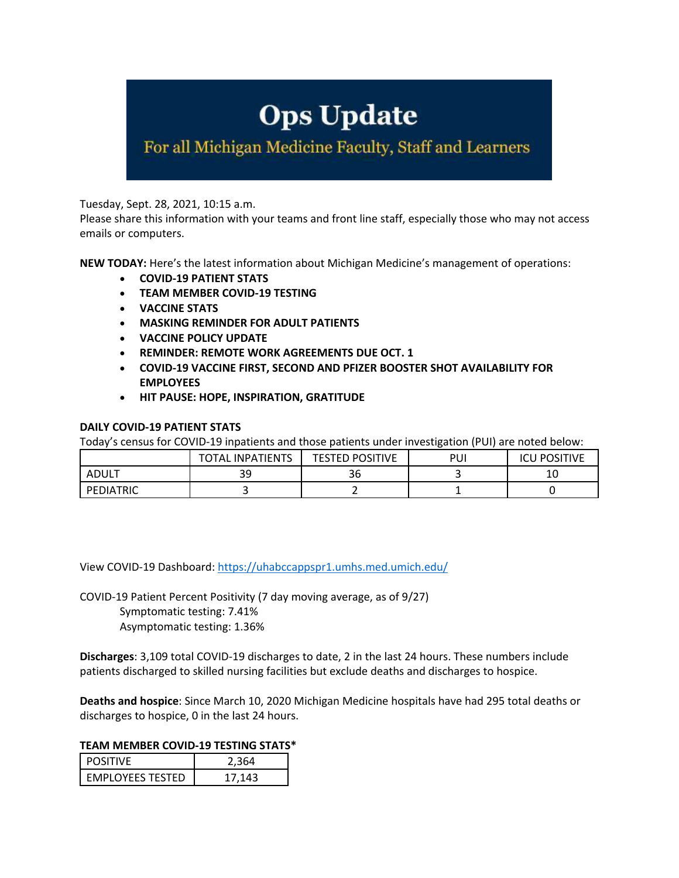# **Ops Update**

For all Michigan Medicine Faculty, Staff and Learners

Tuesday, Sept. 28, 2021, 10:15 a.m.

Please share this information with your teams and front line staff, especially those who may not access emails or computers.

**NEW TODAY:** Here's the latest information about Michigan Medicine's management of operations:

- **COVID-19 PATIENT STATS**
- **TEAM MEMBER COVID-19 TESTING**
- **VACCINE STATS**
- **MASKING REMINDER FOR ADULT PATIENTS**
- **VACCINE POLICY UPDATE**
- **REMINDER: REMOTE WORK AGREEMENTS DUE OCT. 1**
- **COVID-19 VACCINE FIRST, SECOND AND PFIZER BOOSTER SHOT AVAILABILITY FOR EMPLOYEES**
- **HIT PAUSE: HOPE, INSPIRATION, GRATITUDE**

## **DAILY COVID-19 PATIENT STATS**

Today's census for COVID-19 inpatients and those patients under investigation (PUI) are noted below:

|           | <b>INPATIENTS</b><br>TOTAL | <b>TESTED POSITIVE</b> | PUI | <b>POSITIVE</b><br>۱Cl |
|-----------|----------------------------|------------------------|-----|------------------------|
| ADUL.     | 39                         | 50                     |     | 10                     |
| PEDIATRIC |                            | -                      | -   |                        |

View COVID-19 Dashboard: https://uhabccappspr1.umhs.med.umich.edu/

COVID-19 Patient Percent Positivity (7 day moving average, as of 9/27) Symptomatic testing: 7.41% Asymptomatic testing: 1.36%

**Discharges**: 3,109 total COVID-19 discharges to date, 2 in the last 24 hours. These numbers include patients discharged to skilled nursing facilities but exclude deaths and discharges to hospice.

**Deaths and hospice**: Since March 10, 2020 Michigan Medicine hospitals have had 295 total deaths or discharges to hospice, 0 in the last 24 hours.

# **TEAM MEMBER COVID-19 TESTING STATS\***

| <b>POSITIVE</b>         | 2.364  |
|-------------------------|--------|
| <b>EMPLOYEES TESTED</b> | 17.143 |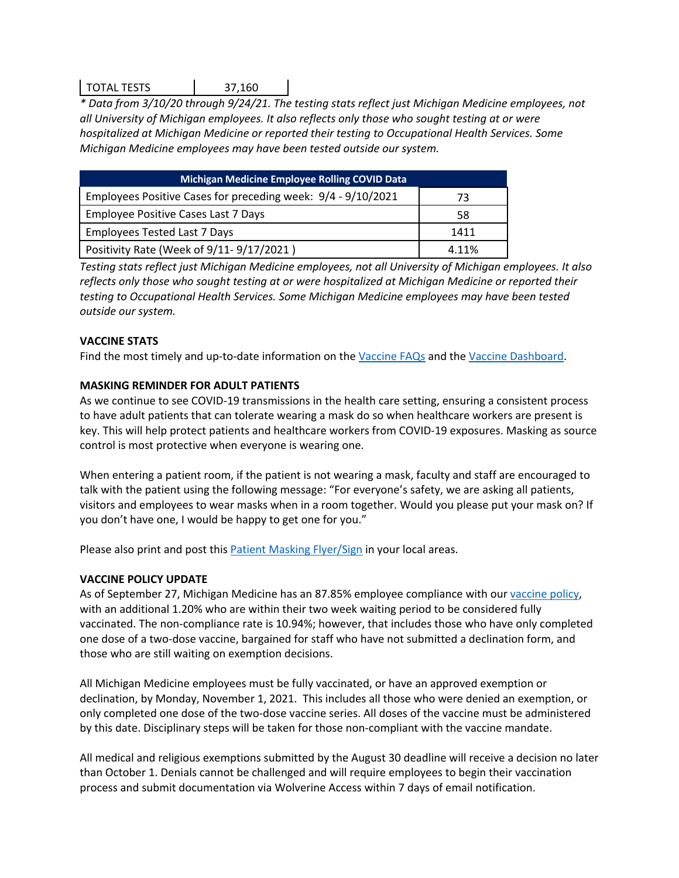# TOTAL TESTS 37,160

*\* Data from 3/10/20 through 9/24/21. The testing stats reflect just Michigan Medicine employees, not all University of Michigan employees. It also reflects only those who sought testing at or were hospitalized at Michigan Medicine or reported their testing to Occupational Health Services. Some Michigan Medicine employees may have been tested outside our system.*

| <b>Michigan Medicine Employee Rolling COVID Data</b>         |       |  |  |
|--------------------------------------------------------------|-------|--|--|
| Employees Positive Cases for preceding week: 9/4 - 9/10/2021 | 73    |  |  |
| Employee Positive Cases Last 7 Days                          | 58    |  |  |
| <b>Employees Tested Last 7 Days</b>                          | 1411  |  |  |
| Positivity Rate (Week of 9/11-9/17/2021)                     | 4.11% |  |  |

*Testing stats reflect just Michigan Medicine employees, not all University of Michigan employees. It also reflects only those who sought testing at or were hospitalized at Michigan Medicine or reported their testing to Occupational Health Services. Some Michigan Medicine employees may have been tested outside our system.*

# **VACCINE STATS**

Find the most timely and up-to-date information on the Vaccine FAQs and the Vaccine Dashboard.

# **MASKING REMINDER FOR ADULT PATIENTS**

As we continue to see COVID-19 transmissions in the health care setting, ensuring a consistent process to have adult patients that can tolerate wearing a mask do so when healthcare workers are present is key. This will help protect patients and healthcare workers from COVID-19 exposures. Masking as source control is most protective when everyone is wearing one.

When entering a patient room, if the patient is not wearing a mask, faculty and staff are encouraged to talk with the patient using the following message: "For everyone's safety, we are asking all patients, visitors and employees to wear masks when in a room together. Would you please put your mask on? If you don't have one, I would be happy to get one for you."

Please also print and post this Patient Masking Flyer/Sign in your local areas.

## **VACCINE POLICY UPDATE**

As of September 27, Michigan Medicine has an 87.85% employee compliance with our vaccine policy, with an additional 1.20% who are within their two week waiting period to be considered fully vaccinated. The non-compliance rate is 10.94%; however, that includes those who have only completed one dose of a two-dose vaccine, bargained for staff who have not submitted a declination form, and those who are still waiting on exemption decisions.

All Michigan Medicine employees must be fully vaccinated, or have an approved exemption or declination, by Monday, November 1, 2021. This includes all those who were denied an exemption, or only completed one dose of the two-dose vaccine series. All doses of the vaccine must be administered by this date. Disciplinary steps will be taken for those non-compliant with the vaccine mandate.

All medical and religious exemptions submitted by the August 30 deadline will receive a decision no later than October 1. Denials cannot be challenged and will require employees to begin their vaccination process and submit documentation via Wolverine Access within 7 days of email notification.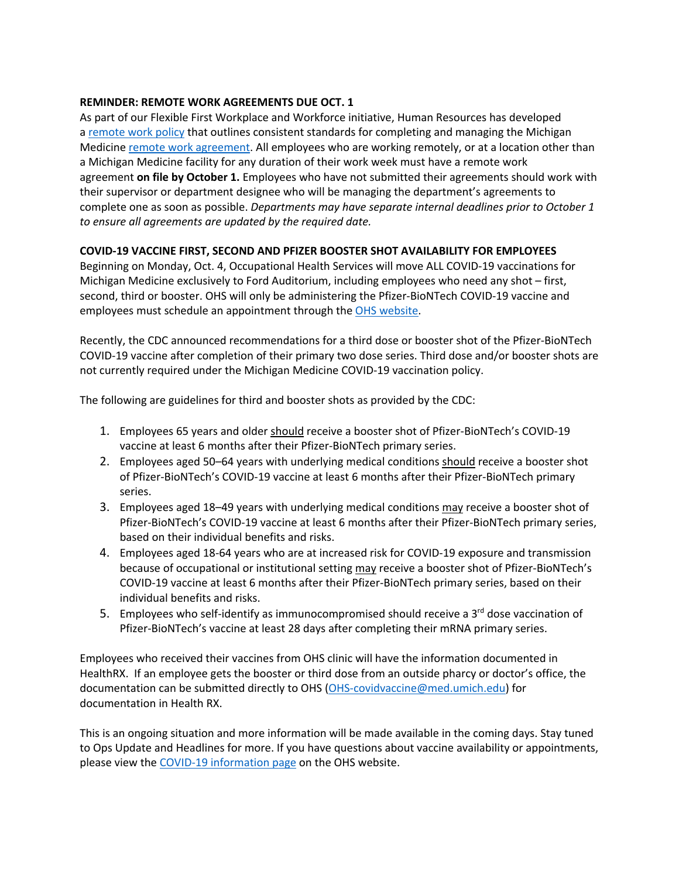## **REMINDER: REMOTE WORK AGREEMENTS DUE OCT. 1**

As part of our Flexible First Workplace and Workforce initiative, Human Resources has developed a remote work policy that outlines consistent standards for completing and managing the Michigan Medicine remote work agreement. All employees who are working remotely, or at a location other than a Michigan Medicine facility for any duration of their work week must have a remote work agreement **on file by October 1.** Employees who have not submitted their agreements should work with their supervisor or department designee who will be managing the department's agreements to complete one as soon as possible. *Departments may have separate internal deadlines prior to October 1 to ensure all agreements are updated by the required date.*

## **COVID-19 VACCINE FIRST, SECOND AND PFIZER BOOSTER SHOT AVAILABILITY FOR EMPLOYEES**

Beginning on Monday, Oct. 4, Occupational Health Services will move ALL COVID-19 vaccinations for Michigan Medicine exclusively to Ford Auditorium, including employees who need any shot – first, second, third or booster. OHS will only be administering the Pfizer-BioNTech COVID-19 vaccine and employees must schedule an appointment through the OHS website.

Recently, the CDC announced recommendations for a third dose or booster shot of the Pfizer-BioNTech COVID-19 vaccine after completion of their primary two dose series. Third dose and/or booster shots are not currently required under the Michigan Medicine COVID-19 vaccination policy.

The following are guidelines for third and booster shots as provided by the CDC:

- 1. Employees 65 years and older should receive a booster shot of Pfizer-BioNTech's COVID-19 vaccine at least 6 months after their Pfizer-BioNTech primary series.
- 2. Employees aged 50–64 years with underlying medical conditions should receive a booster shot of Pfizer-BioNTech's COVID-19 vaccine at least 6 months after their Pfizer-BioNTech primary series.
- 3. Employees aged 18–49 years with underlying medical conditions may receive a booster shot of Pfizer-BioNTech's COVID-19 vaccine at least 6 months after their Pfizer-BioNTech primary series, based on their individual benefits and risks.
- 4. Employees aged 18-64 years who are at increased risk for COVID-19 exposure and transmission because of occupational or institutional setting may receive a booster shot of Pfizer-BioNTech's COVID-19 vaccine at least 6 months after their Pfizer-BioNTech primary series, based on their individual benefits and risks.
- 5. Employees who self-identify as immunocompromised should receive a  $3<sup>rd</sup>$  dose vaccination of Pfizer-BioNTech's vaccine at least 28 days after completing their mRNA primary series.

Employees who received their vaccines from OHS clinic will have the information documented in HealthRX. If an employee gets the booster or third dose from an outside pharcy or doctor's office, the documentation can be submitted directly to OHS (OHS-covidvaccine@med.umich.edu) for documentation in Health RX.

This is an ongoing situation and more information will be made available in the coming days. Stay tuned to Ops Update and Headlines for more. If you have questions about vaccine availability or appointments, please view the COVID-19 information page on the OHS website.